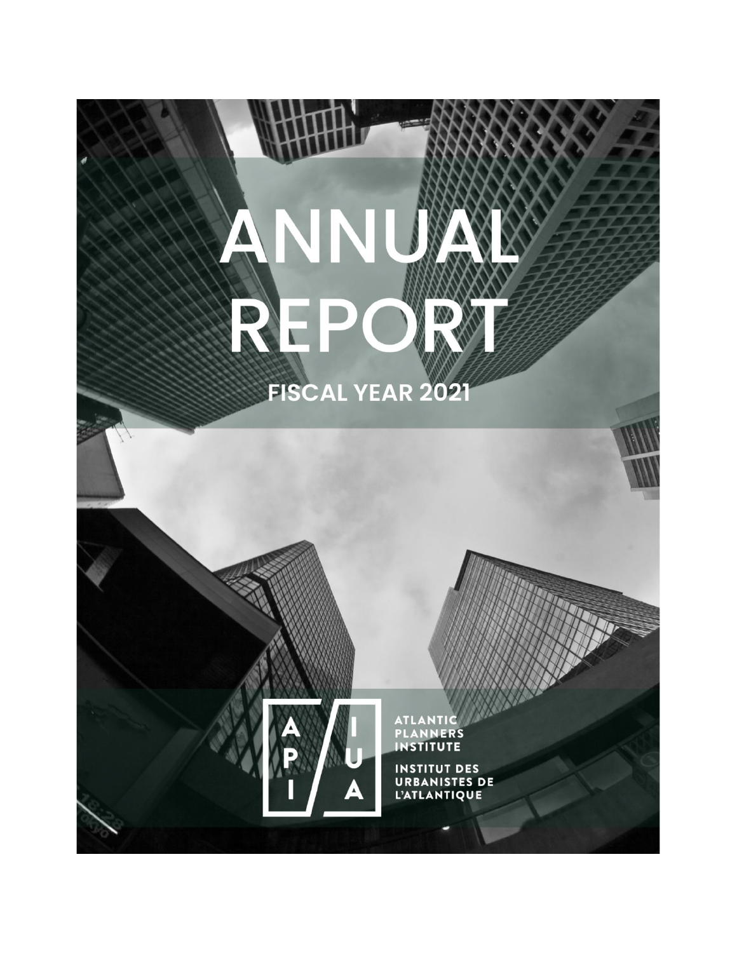# ANN RF XX  $\mathbf{V}$ **FISCAL YEAR 2021**



INSTITUT DES<br>URBANISTES DE<br>L'ATLANTIQUE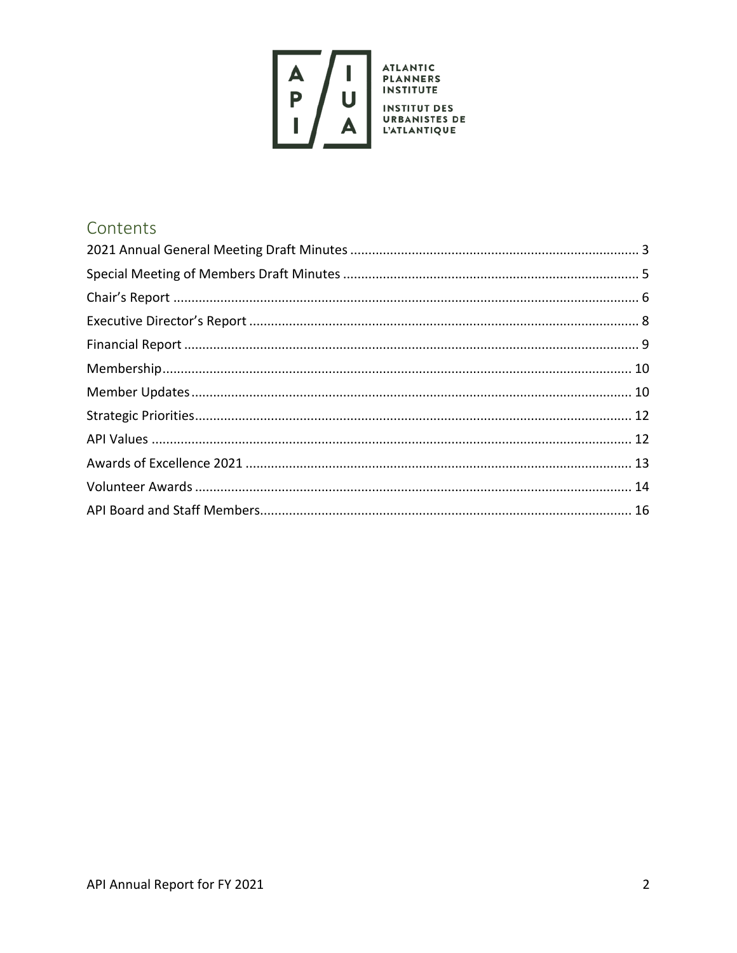

# Contents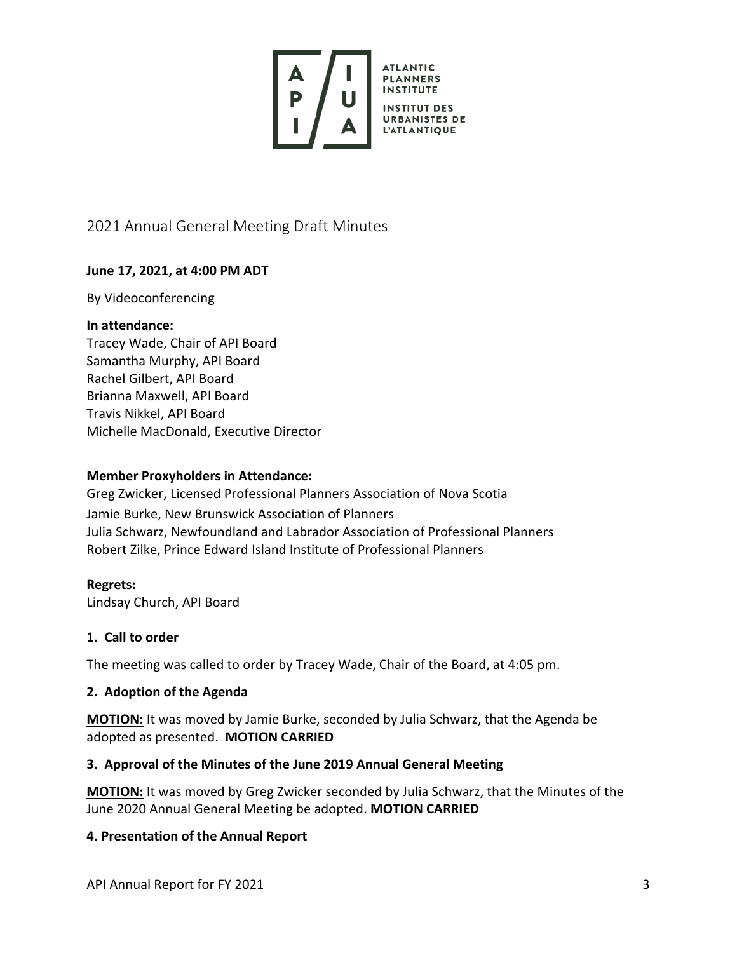

# <span id="page-2-0"></span>2021 Annual General Meeting Draft Minutes

## **June 17, 2021, at 4:00 PM ADT**

#### By Videoconferencing

#### **In attendance:**

Tracey Wade, Chair of API Board Samantha Murphy, API Board Rachel Gilbert, API Board Brianna Maxwell, API Board Travis Nikkel, API Board Michelle MacDonald, Executive Director

#### **Member Proxyholders in Attendance:**

Greg Zwicker, Licensed Professional Planners Association of Nova Scotia Jamie Burke, New Brunswick Association of Planners Julia Schwarz, Newfoundland and Labrador Association of Professional Planners Robert Zilke, Prince Edward Island Institute of Professional Planners

## **Regrets:**

Lindsay Church, API Board

#### **1. Call to order**

The meeting was called to order by Tracey Wade, Chair of the Board, at 4:05 pm.

#### **2. Adoption of the Agenda**

**MOTION:** It was moved by Jamie Burke, seconded by Julia Schwarz, that the Agenda be adopted as presented. **MOTION CARRIED**

## **3. Approval of the Minutes of the June 2019 Annual General Meeting**

**MOTION:** It was moved by Greg Zwicker seconded by Julia Schwarz, that the Minutes of the June 2020 Annual General Meeting be adopted. **MOTION CARRIED**

## **4. Presentation of the Annual Report**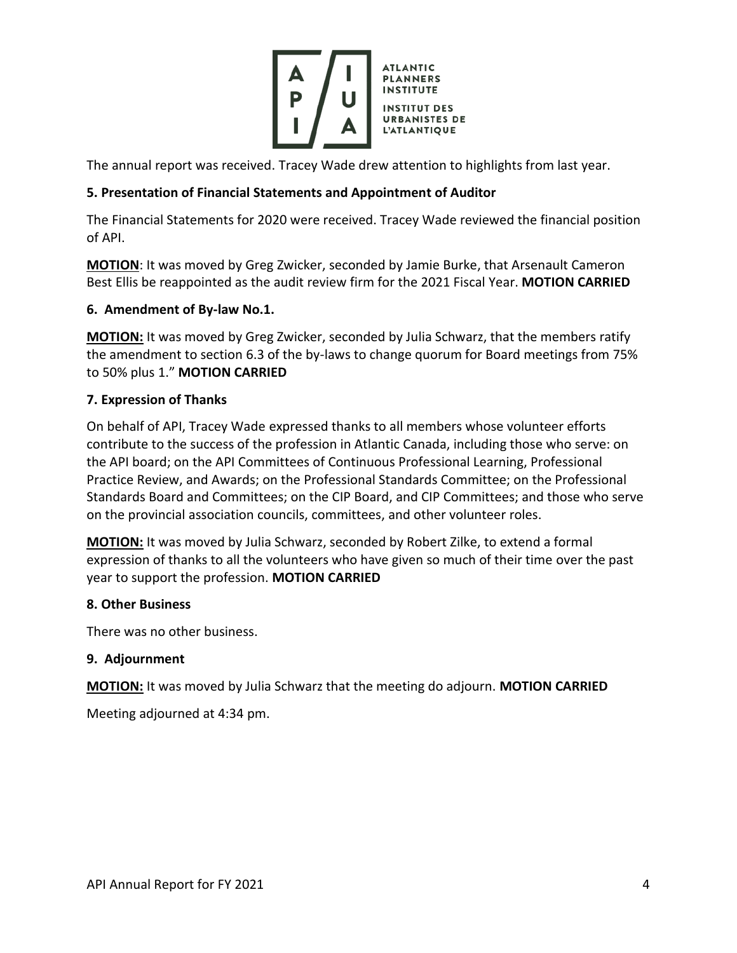

The annual report was received. Tracey Wade drew attention to highlights from last year.

## **5. Presentation of Financial Statements and Appointment of Auditor**

The Financial Statements for 2020 were received. Tracey Wade reviewed the financial position of API.

**MOTION**: It was moved by Greg Zwicker, seconded by Jamie Burke, that Arsenault Cameron Best Ellis be reappointed as the audit review firm for the 2021 Fiscal Year. **MOTION CARRIED**

## **6. Amendment of By-law No.1.**

**MOTION:** It was moved by Greg Zwicker, seconded by Julia Schwarz, that the members ratify the amendment to section 6.3 of the by-laws to change quorum for Board meetings from 75% to 50% plus 1." **MOTION CARRIED**

## **7. Expression of Thanks**

On behalf of API, Tracey Wade expressed thanks to all members whose volunteer efforts contribute to the success of the profession in Atlantic Canada, including those who serve: on the API board; on the API Committees of Continuous Professional Learning, Professional Practice Review, and Awards; on the Professional Standards Committee; on the Professional Standards Board and Committees; on the CIP Board, and CIP Committees; and those who serve on the provincial association councils, committees, and other volunteer roles.

**MOTION:** It was moved by Julia Schwarz, seconded by Robert Zilke, to extend a formal expression of thanks to all the volunteers who have given so much of their time over the past year to support the profession. **MOTION CARRIED**

## **8. Other Business**

There was no other business.

## **9. Adjournment**

**MOTION:** It was moved by Julia Schwarz that the meeting do adjourn. **MOTION CARRIED**

Meeting adjourned at 4:34 pm.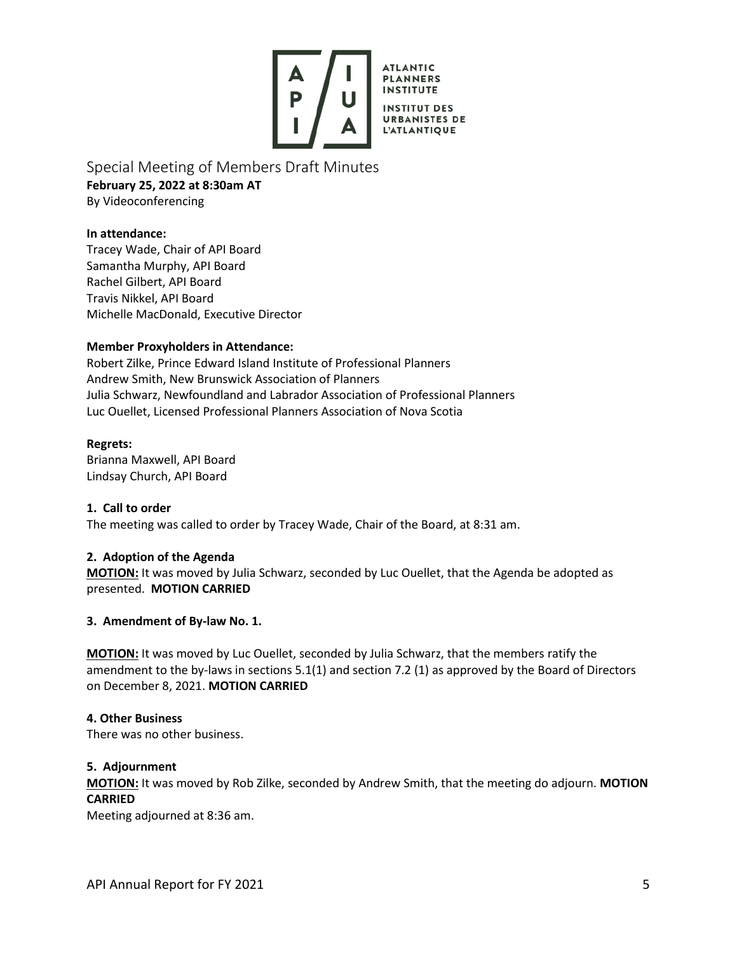

**PLANNERS INSTITUTE INSTITUT DES URBANISTES DE L'ATLANTIQUE** 

**ATLANTIC** 

<span id="page-4-0"></span>Special Meeting of Members Draft Minutes **February 25, 2022 at 8:30am AT** By Videoconferencing

**In attendance:**

Tracey Wade, Chair of API Board Samantha Murphy, API Board Rachel Gilbert, API Board Travis Nikkel, API Board Michelle MacDonald, Executive Director

#### **Member Proxyholders in Attendance:**

Robert Zilke, Prince Edward Island Institute of Professional Planners Andrew Smith, New Brunswick Association of Planners Julia Schwarz, Newfoundland and Labrador Association of Professional Planners Luc Ouellet, Licensed Professional Planners Association of Nova Scotia

#### **Regrets:**

Brianna Maxwell, API Board Lindsay Church, API Board

**1. Call to order** The meeting was called to order by Tracey Wade, Chair of the Board, at 8:31 am.

#### **2. Adoption of the Agenda**

**MOTION:** It was moved by Julia Schwarz, seconded by Luc Ouellet, that the Agenda be adopted as presented. **MOTION CARRIED**

#### **3. Amendment of By-law No. 1.**

**MOTION:** It was moved by Luc Ouellet, seconded by Julia Schwarz, that the members ratify the amendment to the by-laws in sections 5.1(1) and section 7.2 (1) as approved by the Board of Directors on December 8, 2021. **MOTION CARRIED**

#### **4. Other Business**

There was no other business.

#### **5. Adjournment**

**MOTION:** It was moved by Rob Zilke, seconded by Andrew Smith, that the meeting do adjourn. **MOTION CARRIED**

Meeting adjourned at 8:36 am.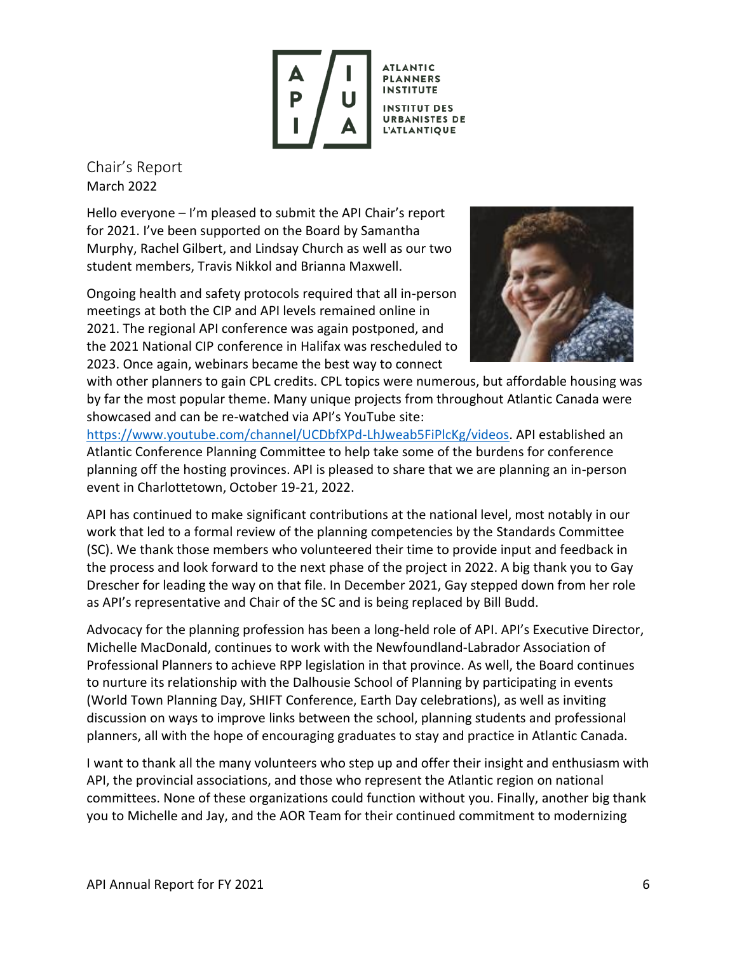

**PLANNERS INSTITUTE INSTITUT DES URBANISTES DE L'ATLANTIQUE** 

<span id="page-5-0"></span>Chair's Report March 2022

Hello everyone – I'm pleased to submit the API Chair's report for 2021. I've been supported on the Board by Samantha Murphy, Rachel Gilbert, and Lindsay Church as well as our two student members, Travis Nikkol and Brianna Maxwell.

Ongoing health and safety protocols required that all in-person meetings at both the CIP and API levels remained online in 2021. The regional API conference was again postponed, and the 2021 National CIP conference in Halifax was rescheduled to 2023. Once again, webinars became the best way to connect



with other planners to gain CPL credits. CPL topics were numerous, but affordable housing was by far the most popular theme. Many unique projects from throughout Atlantic Canada were showcased and can be re-watched via API's YouTube site:

[https://www.youtube.com/channel/UCDbfXPd-LhJweab5FiPlcKg/videos.](https://www.youtube.com/channel/UCDbfXPd-LhJweab5FiPlcKg/videos) API established an Atlantic Conference Planning Committee to help take some of the burdens for conference planning off the hosting provinces. API is pleased to share that we are planning an in-person event in Charlottetown, October 19-21, 2022.

API has continued to make significant contributions at the national level, most notably in our work that led to a formal review of the planning competencies by the Standards Committee (SC). We thank those members who volunteered their time to provide input and feedback in the process and look forward to the next phase of the project in 2022. A big thank you to Gay Drescher for leading the way on that file. In December 2021, Gay stepped down from her role as API's representative and Chair of the SC and is being replaced by Bill Budd.

Advocacy for the planning profession has been a long-held role of API. API's Executive Director, Michelle MacDonald, continues to work with the Newfoundland-Labrador Association of Professional Planners to achieve RPP legislation in that province. As well, the Board continues to nurture its relationship with the Dalhousie School of Planning by participating in events (World Town Planning Day, SHIFT Conference, Earth Day celebrations), as well as inviting discussion on ways to improve links between the school, planning students and professional planners, all with the hope of encouraging graduates to stay and practice in Atlantic Canada.

I want to thank all the many volunteers who step up and offer their insight and enthusiasm with API, the provincial associations, and those who represent the Atlantic region on national committees. None of these organizations could function without you. Finally, another big thank you to Michelle and Jay, and the AOR Team for their continued commitment to modernizing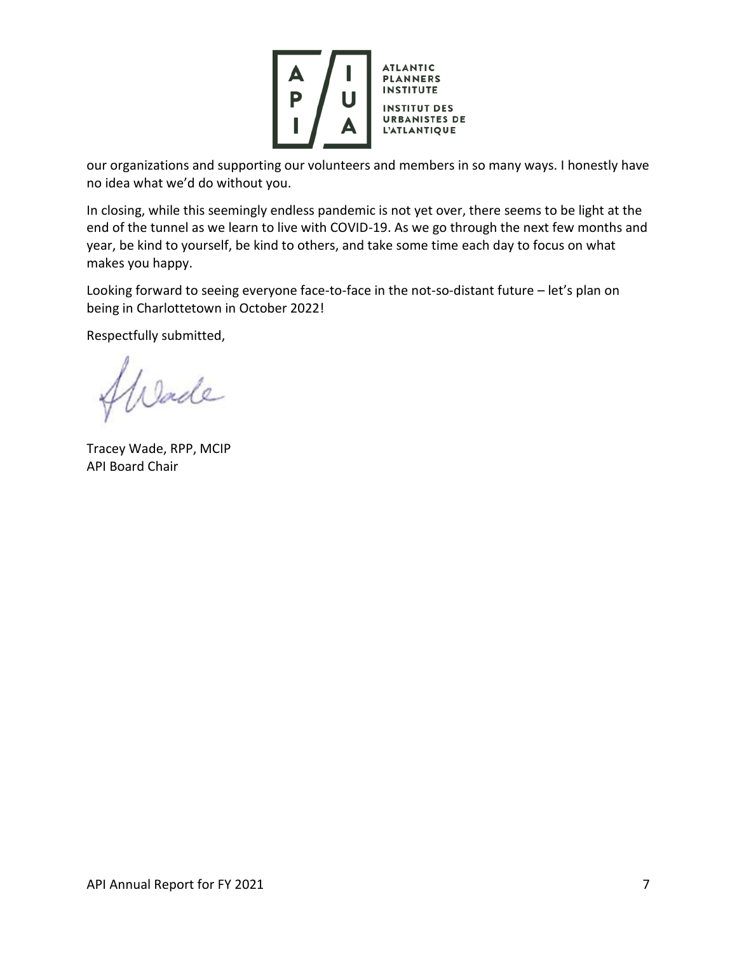

our organizations and supporting our volunteers and members in so many ways. I honestly have no idea what we'd do without you.

In closing, while this seemingly endless pandemic is not yet over, there seems to be light at the end of the tunnel as we learn to live with COVID-19. As we go through the next few months and year, be kind to yourself, be kind to others, and take some time each day to focus on what makes you happy.

Looking forward to seeing everyone face-to-face in the not-so-distant future – let's plan on being in Charlottetown in October 2022!

Respectfully submitted,

Wade

Tracey Wade, RPP, MCIP API Board Chair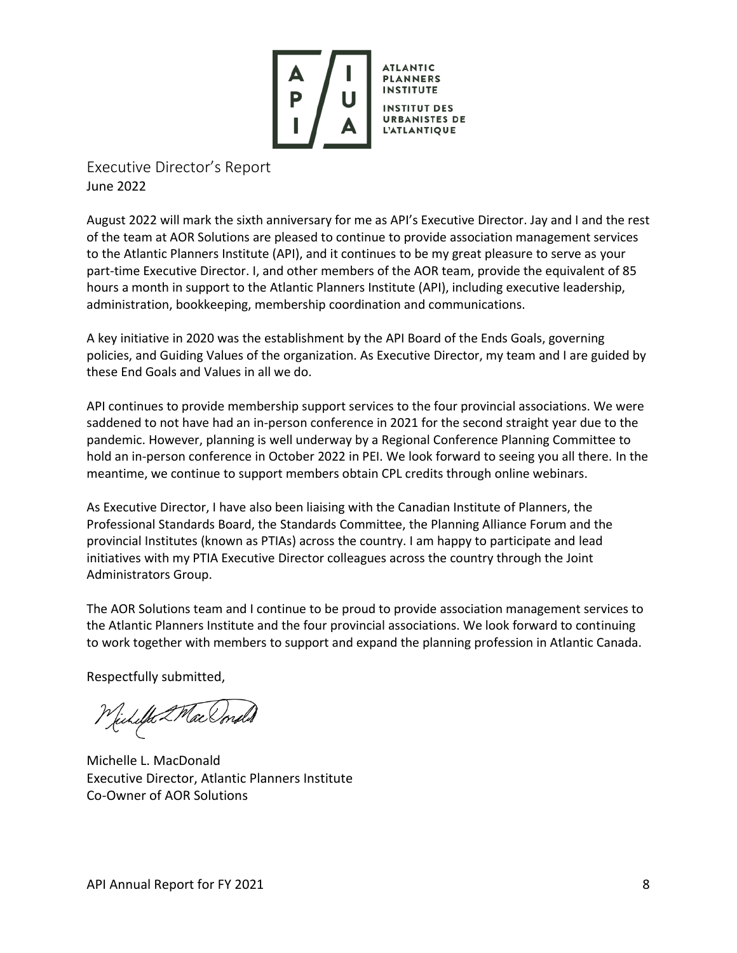

<span id="page-7-0"></span>Executive Director's Report June 2022

August 2022 will mark the sixth anniversary for me as API's Executive Director. Jay and I and the rest of the team at AOR Solutions are pleased to continue to provide association management services to the Atlantic Planners Institute (API), and it continues to be my great pleasure to serve as your part-time Executive Director. I, and other members of the AOR team, provide the equivalent of 85 hours a month in support to the Atlantic Planners Institute (API), including executive leadership, administration, bookkeeping, membership coordination and communications.

A key initiative in 2020 was the establishment by the API Board of the Ends Goals, governing policies, and Guiding Values of the organization. As Executive Director, my team and I are guided by these End Goals and Values in all we do.

API continues to provide membership support services to the four provincial associations. We were saddened to not have had an in-person conference in 2021 for the second straight year due to the pandemic. However, planning is well underway by a Regional Conference Planning Committee to hold an in-person conference in October 2022 in PEI. We look forward to seeing you all there. In the meantime, we continue to support members obtain CPL credits through online webinars.

As Executive Director, I have also been liaising with the Canadian Institute of Planners, the Professional Standards Board, the Standards Committee, the Planning Alliance Forum and the provincial Institutes (known as PTIAs) across the country. I am happy to participate and lead initiatives with my PTIA Executive Director colleagues across the country through the Joint Administrators Group.

The AOR Solutions team and I continue to be proud to provide association management services to the Atlantic Planners Institute and the four provincial associations. We look forward to continuing to work together with members to support and expand the planning profession in Atlantic Canada.

Respectfully submitted,

Michelle 2 Mac Omd

Michelle L. MacDonald Executive Director, Atlantic Planners Institute Co-Owner of AOR Solutions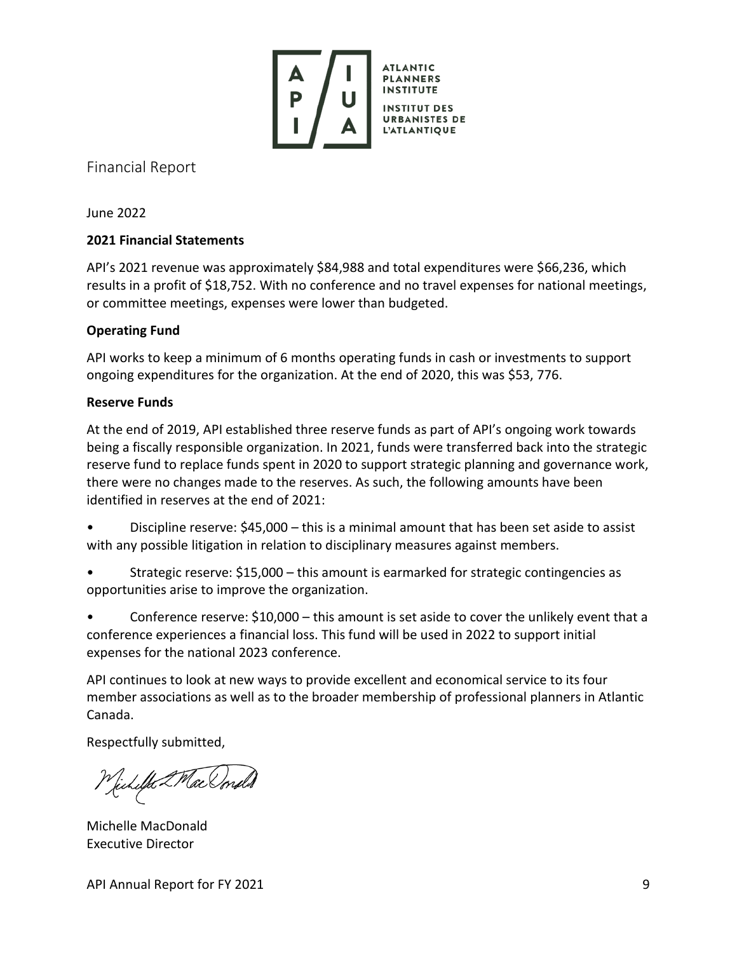

<span id="page-8-0"></span>Financial Report

June 2022

## **2021 Financial Statements**

API's 2021 revenue was approximately \$84,988 and total expenditures were \$66,236, which results in a profit of \$18,752. With no conference and no travel expenses for national meetings, or committee meetings, expenses were lower than budgeted.

## **Operating Fund**

API works to keep a minimum of 6 months operating funds in cash or investments to support ongoing expenditures for the organization. At the end of 2020, this was \$53, 776.

## **Reserve Funds**

At the end of 2019, API established three reserve funds as part of API's ongoing work towards being a fiscally responsible organization. In 2021, funds were transferred back into the strategic reserve fund to replace funds spent in 2020 to support strategic planning and governance work, there were no changes made to the reserves. As such, the following amounts have been identified in reserves at the end of 2021:

• Discipline reserve: \$45,000 – this is a minimal amount that has been set aside to assist with any possible litigation in relation to disciplinary measures against members.

• Strategic reserve: \$15,000 – this amount is earmarked for strategic contingencies as opportunities arise to improve the organization.

• Conference reserve: \$10,000 – this amount is set aside to cover the unlikely event that a conference experiences a financial loss. This fund will be used in 2022 to support initial expenses for the national 2023 conference.

API continues to look at new ways to provide excellent and economical service to its four member associations as well as to the broader membership of professional planners in Atlantic Canada.

Respectfully submitted,

Michelle 2 Mac Umd S

Michelle MacDonald Executive Director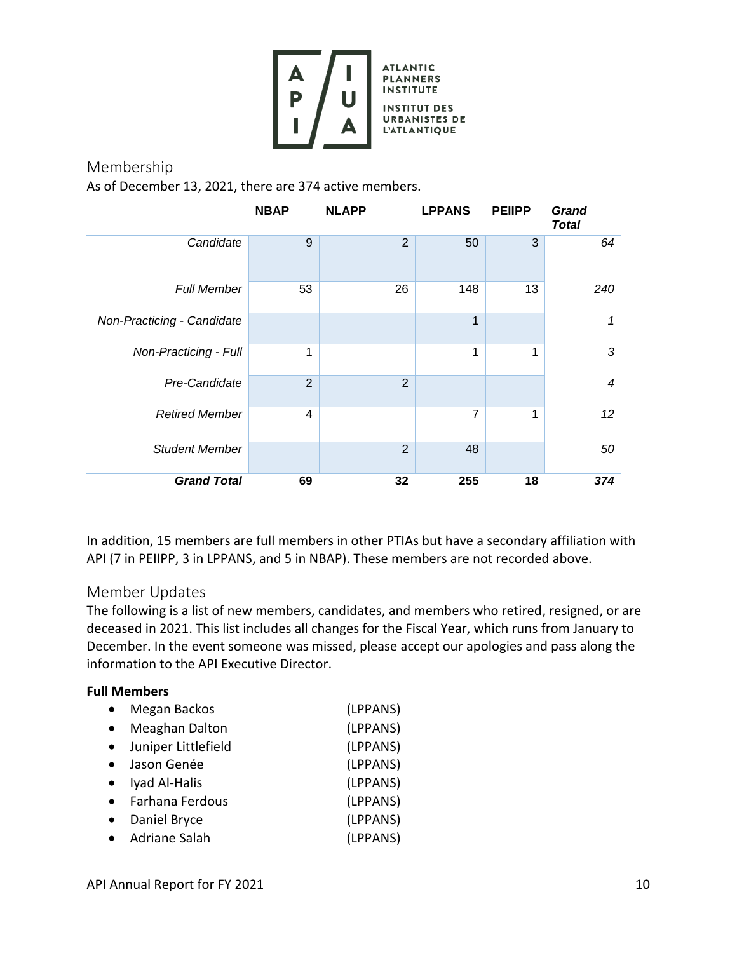![](_page_9_Picture_0.jpeg)

<span id="page-9-0"></span>Membership As of December 13, 2021, there are 374 active members.

|                            | <b>NBAP</b>    | <b>NLAPP</b>   | <b>LPPANS</b>  | <b>PEIIPP</b> | <b>Grand</b><br><b>Total</b> |
|----------------------------|----------------|----------------|----------------|---------------|------------------------------|
| Candidate                  | 9              | $\overline{2}$ | 50             | 3             | 64                           |
| <b>Full Member</b>         | 53             | 26             | 148            | 13            | 240                          |
| Non-Practicing - Candidate |                |                | 1              |               | 1                            |
| Non-Practicing - Full      | 1              |                | 1              | 1             | 3                            |
| Pre-Candidate              | $\overline{2}$ | $\overline{2}$ |                |               | $\overline{4}$               |
| <b>Retired Member</b>      | 4              |                | $\overline{7}$ | 1             | 12                           |
| <b>Student Member</b>      |                | $\overline{2}$ | 48             |               | 50                           |
| <b>Grand Total</b>         | 69             | 32             | 255            | 18            | 374                          |

In addition, 15 members are full members in other PTIAs but have a secondary affiliation with API (7 in PEIIPP, 3 in LPPANS, and 5 in NBAP). These members are not recorded above.

## <span id="page-9-1"></span>Member Updates

The following is a list of new members, candidates, and members who retired, resigned, or are deceased in 2021. This list includes all changes for the Fiscal Year, which runs from January to December. In the event someone was missed, please accept our apologies and pass along the information to the API Executive Director.

#### **Full Members**

| Megan Backos          | (LPPANS) |
|-----------------------|----------|
| <b>Meaghan Dalton</b> | (LPPANS) |
| Juniper Littlefield   | (LPPANS) |
| Jason Genée           | (LPPANS) |
| Iyad Al-Halis         | (LPPANS) |
| Farhana Ferdous       | (LPPANS) |
| Daniel Bryce          | (LPPANS) |
| Adriane Salah         | (LPPANS) |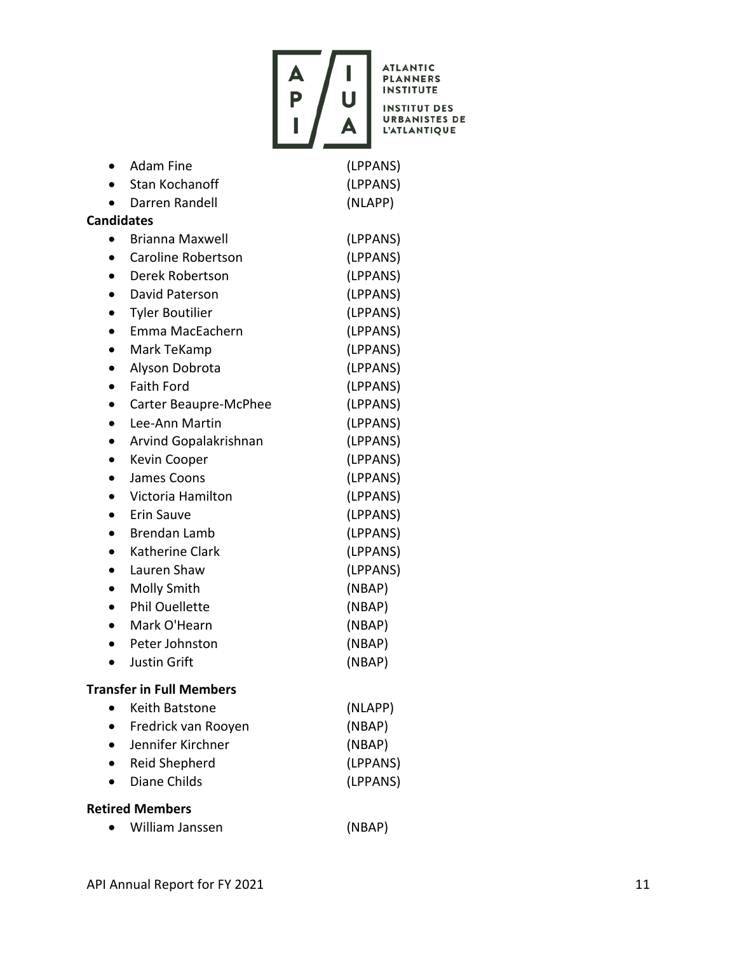![](_page_10_Picture_0.jpeg)

**ATLANTIC<br>PLANNERS INSTITUTE INSTITUT DES** 

**URBANISTES DE<br>L'ATLANTIQUE** 

|                                 | <b>Adam Fine</b>       | (LPPANS) |  |  |
|---------------------------------|------------------------|----------|--|--|
|                                 | <b>Stan Kochanoff</b>  | (LPPANS) |  |  |
|                                 | Darren Randell         | (NLAPP)  |  |  |
| <b>Candidates</b>               |                        |          |  |  |
|                                 | Brianna Maxwell        | (LPPANS) |  |  |
|                                 | Caroline Robertson     | (LPPANS) |  |  |
|                                 | Derek Robertson        | (LPPANS) |  |  |
| $\bullet$                       | David Paterson         | (LPPANS) |  |  |
| $\bullet$                       | <b>Tyler Boutilier</b> | (LPPANS) |  |  |
| $\bullet$                       | Emma MacEachern        | (LPPANS) |  |  |
|                                 | Mark TeKamp            | (LPPANS) |  |  |
| $\bullet$                       | Alyson Dobrota         | (LPPANS) |  |  |
|                                 | <b>Faith Ford</b>      | (LPPANS) |  |  |
| $\bullet$                       | Carter Beaupre-McPhee  | (LPPANS) |  |  |
|                                 | Lee-Ann Martin         | (LPPANS) |  |  |
|                                 | Arvind Gopalakrishnan  | (LPPANS) |  |  |
| $\bullet$                       | Kevin Cooper           | (LPPANS) |  |  |
| $\bullet$                       | James Coons            | (LPPANS) |  |  |
|                                 | Victoria Hamilton      | (LPPANS) |  |  |
|                                 | <b>Erin Sauve</b>      | (LPPANS) |  |  |
| $\bullet$                       | <b>Brendan Lamb</b>    | (LPPANS) |  |  |
| $\bullet$                       | Katherine Clark        | (LPPANS) |  |  |
| $\bullet$                       | Lauren Shaw            | (LPPANS) |  |  |
| $\bullet$                       | Molly Smith            | (NBAP)   |  |  |
| $\bullet$                       | <b>Phil Ouellette</b>  | (NBAP)   |  |  |
|                                 | Mark O'Hearn           | (NBAP)   |  |  |
|                                 | Peter Johnston         | (NBAP)   |  |  |
|                                 | Justin Grift           | (NBAP)   |  |  |
| <b>Transfer in Full Members</b> |                        |          |  |  |
|                                 | <b>Keith Batstone</b>  | (NLAPP)  |  |  |

| Fredrick van Rooyen | (NBAP) |
|---------------------|--------|
|                     |        |

- Jennifer Kirchner (NBAP) • Reid Shepherd (LPPANS)
- Diane Childs (LPPANS)

## **Retired Members**

 $\bullet$  William Janssen (NBAP)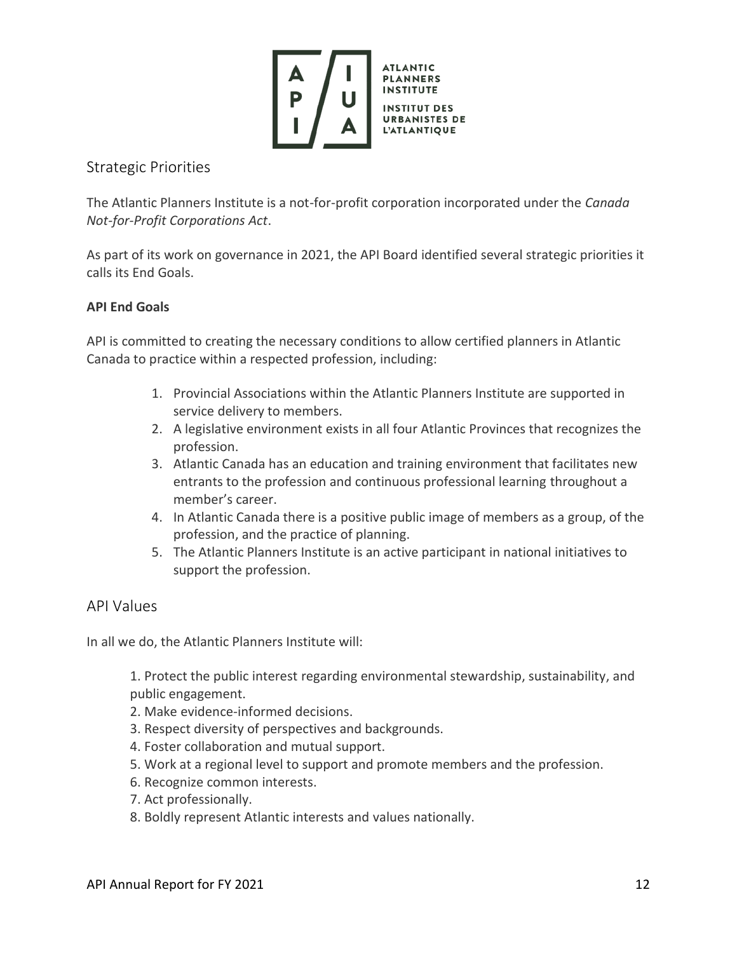![](_page_11_Picture_0.jpeg)

## <span id="page-11-0"></span>Strategic Priorities

The Atlantic Planners Institute is a not-for-profit corporation incorporated under the *Canada Not-for-Profit Corporations Act*.

As part of its work on governance in 2021, the API Board identified several strategic priorities it calls its End Goals.

## **API End Goals**

API is committed to creating the necessary conditions to allow certified planners in Atlantic Canada to practice within a respected profession, including:

- 1. Provincial Associations within the Atlantic Planners Institute are supported in service delivery to members.
- 2. A legislative environment exists in all four Atlantic Provinces that recognizes the profession.
- 3. Atlantic Canada has an education and training environment that facilitates new entrants to the profession and continuous professional learning throughout a member's career.
- 4. In Atlantic Canada there is a positive public image of members as a group, of the profession, and the practice of planning.
- 5. The Atlantic Planners Institute is an active participant in national initiatives to support the profession.

## <span id="page-11-1"></span>API Values

In all we do, the Atlantic Planners Institute will:

1. Protect the public interest regarding environmental stewardship, sustainability, and public engagement.

- 2. Make evidence-informed decisions.
- 3. Respect diversity of perspectives and backgrounds.
- 4. Foster collaboration and mutual support.
- 5. Work at a regional level to support and promote members and the profession.
- 6. Recognize common interests.
- 7. Act professionally.
- 8. Boldly represent Atlantic interests and values nationally.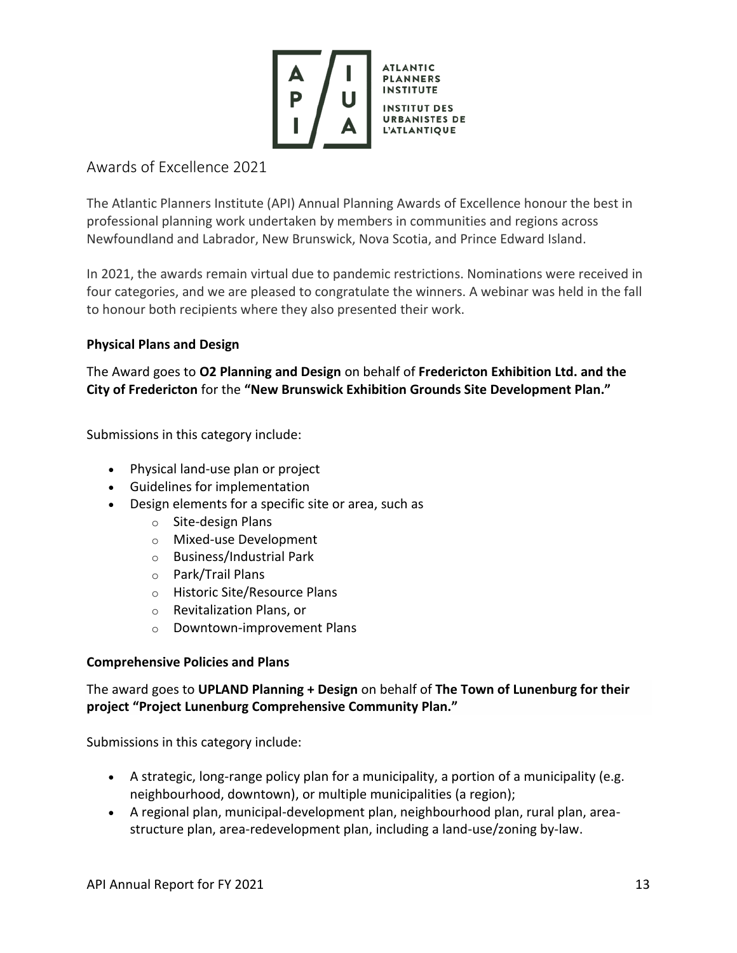![](_page_12_Picture_0.jpeg)

# <span id="page-12-0"></span>Awards of Excellence 2021

The Atlantic Planners Institute (API) Annual Planning Awards of Excellence honour the best in professional planning work undertaken by members in communities and regions across Newfoundland and Labrador, New Brunswick, Nova Scotia, and Prince Edward Island.

In 2021, the awards remain virtual due to pandemic restrictions. Nominations were received in four categories, and we are pleased to congratulate the winners. A webinar was held in the fall to honour both recipients where they also presented their work.

## **Physical Plans and Design**

The Award goes to **O2 Planning and Design** on behalf of **Fredericton Exhibition Ltd. and the City of Fredericton** for the **"New Brunswick Exhibition Grounds Site Development Plan."**

Submissions in this category include:

- Physical land-use plan or project
- Guidelines for implementation
- Design elements for a specific site or area, such as
	- o Site-design Plans
	- o Mixed-use Development
	- o Business/Industrial Park
	- o Park/Trail Plans
	- o Historic Site/Resource Plans
	- o Revitalization Plans, or
	- o Downtown-improvement Plans

## **Comprehensive Policies and Plans**

## The award goes to **UPLAND Planning + Design** on behalf of **The Town of Lunenburg for their project "Project Lunenburg Comprehensive Community Plan."**

Submissions in this category include:

- A strategic, long-range policy plan for a municipality, a portion of a municipality (e.g. neighbourhood, downtown), or multiple municipalities (a region);
- A regional plan, municipal-development plan, neighbourhood plan, rural plan, areastructure plan, area-redevelopment plan, including a land-use/zoning by-law.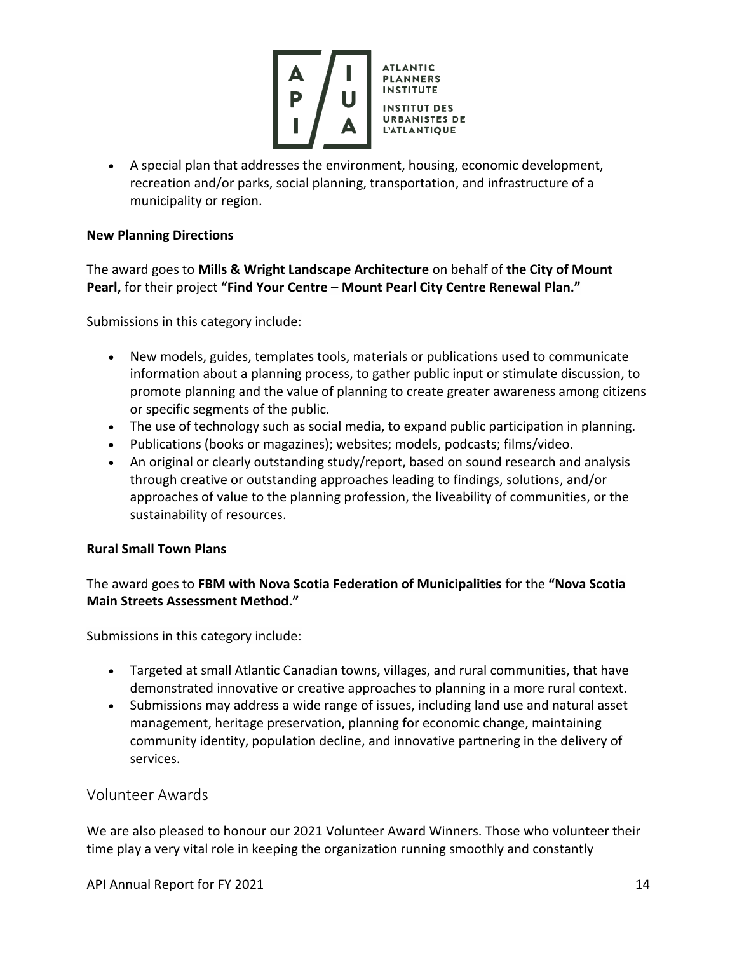![](_page_13_Picture_0.jpeg)

• A special plan that addresses the environment, housing, economic development, recreation and/or parks, social planning, transportation, and infrastructure of a municipality or region.

#### **New Planning Directions**

The award goes to **Mills & Wright Landscape Architecture** on behalf of **the City of Mount Pearl,** for their project **"Find Your Centre – Mount Pearl City Centre Renewal Plan."**

Submissions in this category include:

- New models, guides, templates tools, materials or publications used to communicate information about a planning process, to gather public input or stimulate discussion, to promote planning and the value of planning to create greater awareness among citizens or specific segments of the public.
- The use of technology such as social media, to expand public participation in planning.
- Publications (books or magazines); websites; models, podcasts; films/video.
- An original or clearly outstanding study/report, based on sound research and analysis through creative or outstanding approaches leading to findings, solutions, and/or approaches of value to the planning profession, the liveability of communities, or the sustainability of resources.

## **Rural Small Town Plans**

The award goes to **FBM with Nova Scotia Federation of Municipalities** for the **"Nova Scotia Main Streets Assessment Method."**

Submissions in this category include:

- Targeted at small Atlantic Canadian towns, villages, and rural communities, that have demonstrated innovative or creative approaches to planning in a more rural context.
- Submissions may address a wide range of issues, including land use and natural asset management, heritage preservation, planning for economic change, maintaining community identity, population decline, and innovative partnering in the delivery of services.

## <span id="page-13-0"></span>Volunteer Awards

We are also pleased to honour our 2021 Volunteer Award Winners. Those who volunteer their time play a very vital role in keeping the organization running smoothly and constantly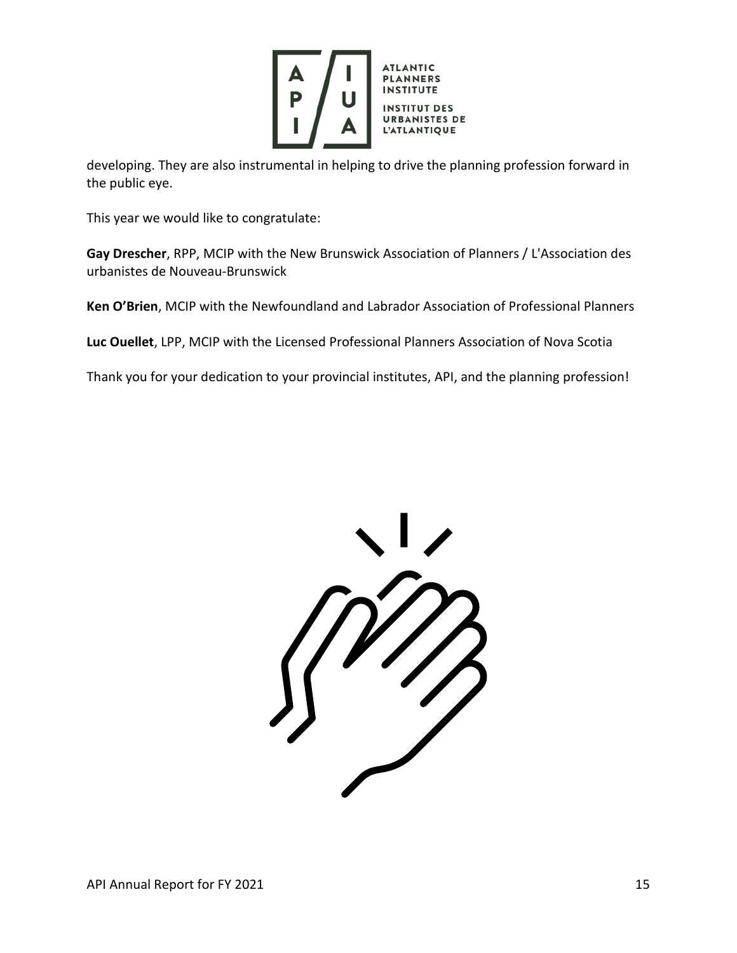![](_page_14_Picture_0.jpeg)

developing. They are also instrumental in helping to drive the planning profession forward in the public eye.

This year we would like to congratulate:

**Gay Drescher**, RPP, MCIP with the New Brunswick Association of Planners / L'Association des urbanistes de Nouveau-Brunswick

**Ken O'Brien**, MCIP with the Newfoundland and Labrador Association of Professional Planners

**Luc Ouellet**, LPP, MCIP with the Licensed Professional Planners Association of Nova Scotia

Thank you for your dedication to your provincial institutes, API, and the planning profession!

![](_page_14_Picture_7.jpeg)